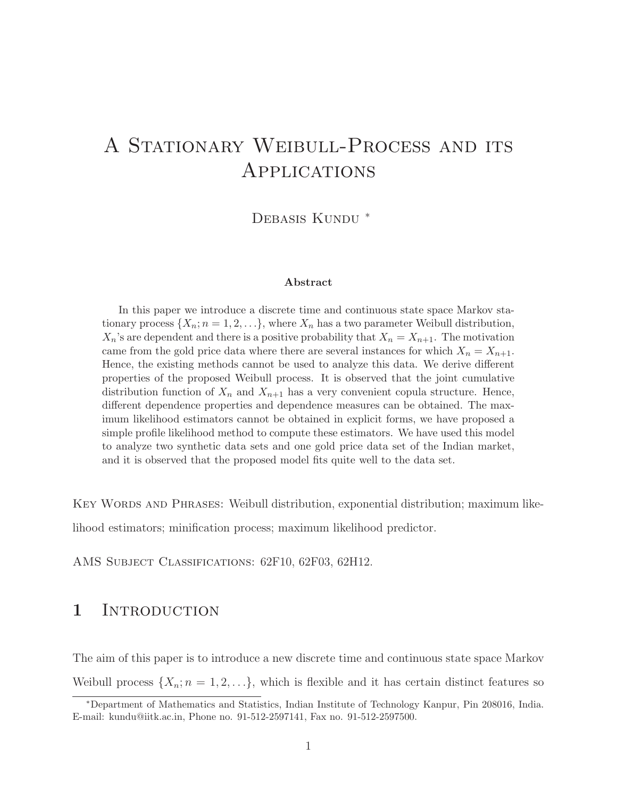# A STATIONARY WEIBULL-PROCESS AND ITS Applications

DEBASIS KUNDU<sup>\*</sup>

#### Abstract

In this paper we introduce a discrete time and continuous state space Markov stationary process  $\{X_n; n = 1, 2, \ldots\}$ , where  $X_n$  has a two parameter Weibull distribution,  $X_n$ 's are dependent and there is a positive probability that  $X_n = X_{n+1}$ . The motivation came from the gold price data where there are several instances for which  $X_n = X_{n+1}$ . Hence, the existing methods cannot be used to analyze this data. We derive different properties of the proposed Weibull process. It is observed that the joint cumulative distribution function of  $X_n$  and  $X_{n+1}$  has a very convenient copula structure. Hence, different dependence properties and dependence measures can be obtained. The maximum likelihood estimators cannot be obtained in explicit forms, we have proposed a simple profile likelihood method to compute these estimators. We have used this model to analyze two synthetic data sets and one gold price data set of the Indian market, and it is observed that the proposed model fits quite well to the data set.

Key Words and Phrases: Weibull distribution, exponential distribution; maximum like-

lihood estimators; minification process; maximum likelihood predictor.

AMS SUBJECT CLASSIFICATIONS: 62F10, 62F03, 62H12.

### 1 INTRODUCTION

The aim of this paper is to introduce a new discrete time and continuous state space Markov Weibull process  $\{X_n; n = 1, 2, \ldots\}$ , which is flexible and it has certain distinct features so

<sup>∗</sup>Department of Mathematics and Statistics, Indian Institute of Technology Kanpur, Pin 208016, India. E-mail: kundu@iitk.ac.in, Phone no. 91-512-2597141, Fax no. 91-512-2597500.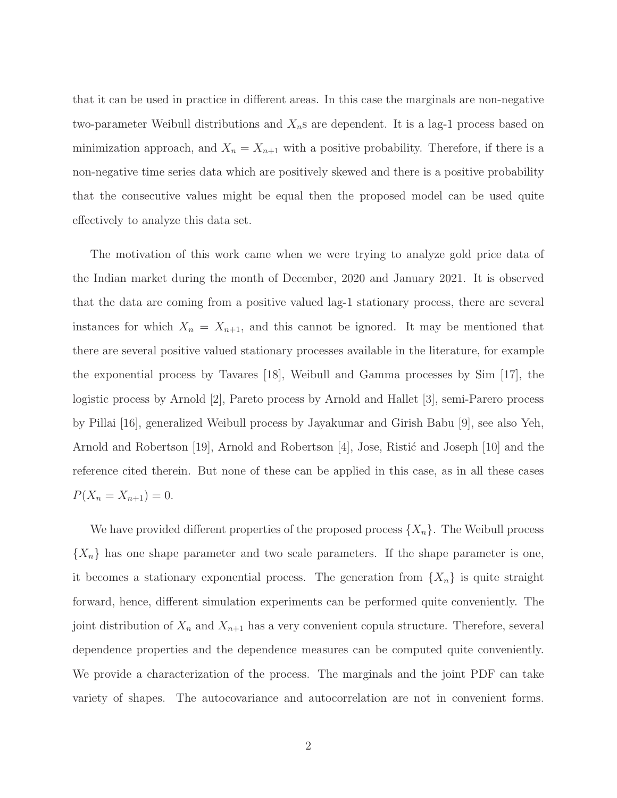that it can be used in practice in different areas. In this case the marginals are non-negative two-parameter Weibull distributions and  $X_n$ s are dependent. It is a lag-1 process based on minimization approach, and  $X_n = X_{n+1}$  with a positive probability. Therefore, if there is a non-negative time series data which are positively skewed and there is a positive probability that the consecutive values might be equal then the proposed model can be used quite effectively to analyze this data set.

The motivation of this work came when we were trying to analyze gold price data of the Indian market during the month of December, 2020 and January 2021. It is observed that the data are coming from a positive valued lag-1 stationary process, there are several instances for which  $X_n = X_{n+1}$ , and this cannot be ignored. It may be mentioned that there are several positive valued stationary processes available in the literature, for example the exponential process by Tavares [18], Weibull and Gamma processes by Sim [17], the logistic process by Arnold [2], Pareto process by Arnold and Hallet [3], semi-Parero process by Pillai [16], generalized Weibull process by Jayakumar and Girish Babu [9], see also Yeh, Arnold and Robertson [19], Arnold and Robertson  $|4|$ , Jose, Ristic and Joseph [10] and the reference cited therein. But none of these can be applied in this case, as in all these cases  $P(X_n = X_{n+1}) = 0.$ 

We have provided different properties of the proposed process  $\{X_n\}$ . The Weibull process  ${X_n}$  has one shape parameter and two scale parameters. If the shape parameter is one, it becomes a stationary exponential process. The generation from  $\{X_n\}$  is quite straight forward, hence, different simulation experiments can be performed quite conveniently. The joint distribution of  $X_n$  and  $X_{n+1}$  has a very convenient copula structure. Therefore, several dependence properties and the dependence measures can be computed quite conveniently. We provide a characterization of the process. The marginals and the joint PDF can take variety of shapes. The autocovariance and autocorrelation are not in convenient forms.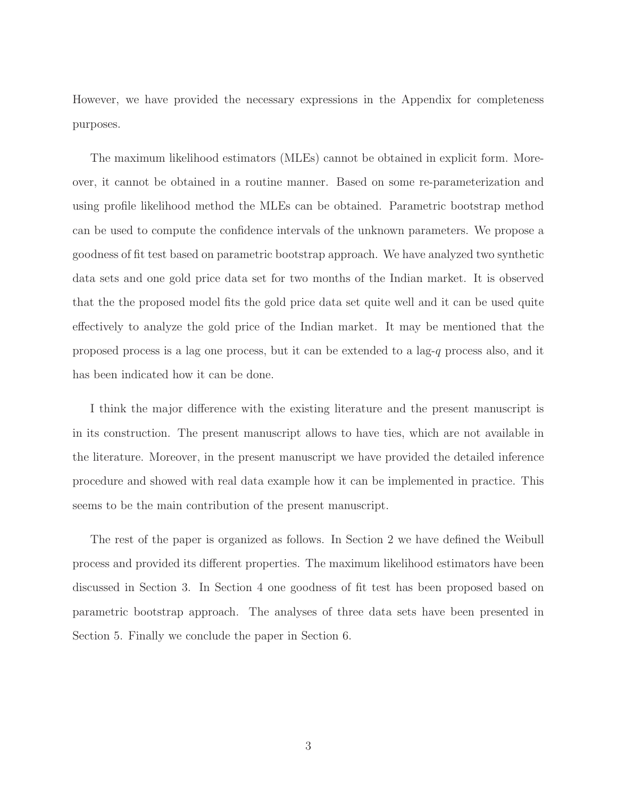However, we have provided the necessary expressions in the Appendix for completeness purposes.

The maximum likelihood estimators (MLEs) cannot be obtained in explicit form. Moreover, it cannot be obtained in a routine manner. Based on some re-parameterization and using profile likelihood method the MLEs can be obtained. Parametric bootstrap method can be used to compute the confidence intervals of the unknown parameters. We propose a goodness of fit test based on parametric bootstrap approach. We have analyzed two synthetic data sets and one gold price data set for two months of the Indian market. It is observed that the the proposed model fits the gold price data set quite well and it can be used quite effectively to analyze the gold price of the Indian market. It may be mentioned that the proposed process is a lag one process, but it can be extended to a lag-q process also, and it has been indicated how it can be done.

I think the major difference with the existing literature and the present manuscript is in its construction. The present manuscript allows to have ties, which are not available in the literature. Moreover, in the present manuscript we have provided the detailed inference procedure and showed with real data example how it can be implemented in practice. This seems to be the main contribution of the present manuscript.

The rest of the paper is organized as follows. In Section 2 we have defined the Weibull process and provided its different properties. The maximum likelihood estimators have been discussed in Section 3. In Section 4 one goodness of fit test has been proposed based on parametric bootstrap approach. The analyses of three data sets have been presented in Section 5. Finally we conclude the paper in Section 6.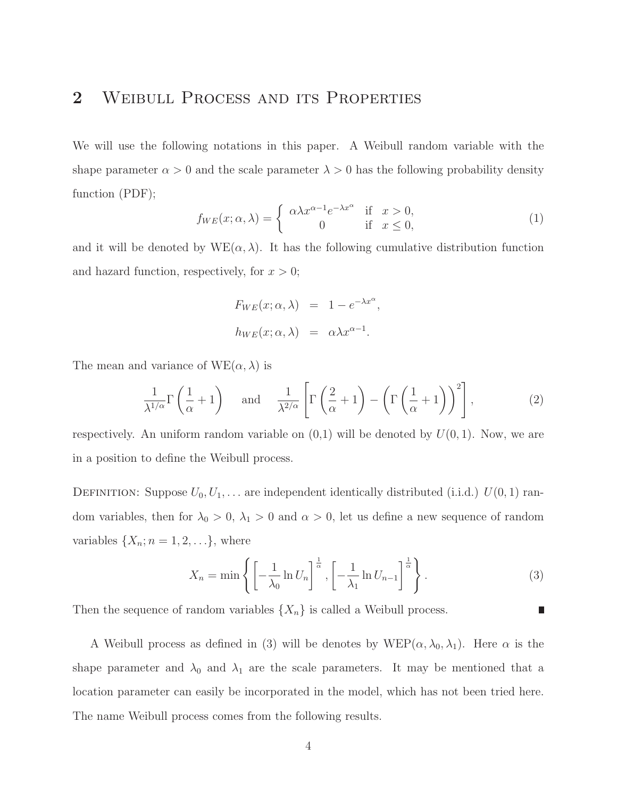## 2 WEIBULL PROCESS AND ITS PROPERTIES

We will use the following notations in this paper. A Weibull random variable with the shape parameter  $\alpha > 0$  and the scale parameter  $\lambda > 0$  has the following probability density function (PDF);

$$
f_{WE}(x; \alpha, \lambda) = \begin{cases} \alpha \lambda x^{\alpha - 1} e^{-\lambda x^{\alpha}} & \text{if } x > 0, \\ 0 & \text{if } x \le 0, \end{cases}
$$
 (1)

and it will be denoted by  $WE(\alpha, \lambda)$ . It has the following cumulative distribution function and hazard function, respectively, for  $x > 0$ ;

$$
F_{WE}(x; \alpha, \lambda) = 1 - e^{-\lambda x^{\alpha}},
$$
  

$$
h_{WE}(x; \alpha, \lambda) = \alpha \lambda x^{\alpha - 1}.
$$

The mean and variance of  $WE(\alpha, \lambda)$  is

$$
\frac{1}{\lambda^{1/\alpha}}\Gamma\left(\frac{1}{\alpha}+1\right) \quad \text{and} \quad \frac{1}{\lambda^{2/\alpha}}\left[\Gamma\left(\frac{2}{\alpha}+1\right)-\left(\Gamma\left(\frac{1}{\alpha}+1\right)\right)^2\right],\tag{2}
$$

respectively. An uniform random variable on  $(0,1)$  will be denoted by  $U(0,1)$ . Now, we are in a position to define the Weibull process.

DEFINITION: Suppose  $U_0, U_1, \ldots$  are independent identically distributed (i.i.d.)  $U(0, 1)$  random variables, then for  $\lambda_0 > 0$ ,  $\lambda_1 > 0$  and  $\alpha > 0$ , let us define a new sequence of random variables  $\{X_n; n = 1, 2, \ldots\}$ , where

$$
X_n = \min\left\{ \left[ -\frac{1}{\lambda_0} \ln U_n \right]^{\frac{1}{\alpha}}, \left[ -\frac{1}{\lambda_1} \ln U_{n-1} \right]^{\frac{1}{\alpha}} \right\}.
$$
 (3)

г

Then the sequence of random variables  $\{X_n\}$  is called a Weibull process.

A Weibull process as defined in (3) will be denotes by  $WEP(\alpha, \lambda_0, \lambda_1)$ . Here  $\alpha$  is the shape parameter and  $\lambda_0$  and  $\lambda_1$  are the scale parameters. It may be mentioned that a location parameter can easily be incorporated in the model, which has not been tried here. The name Weibull process comes from the following results.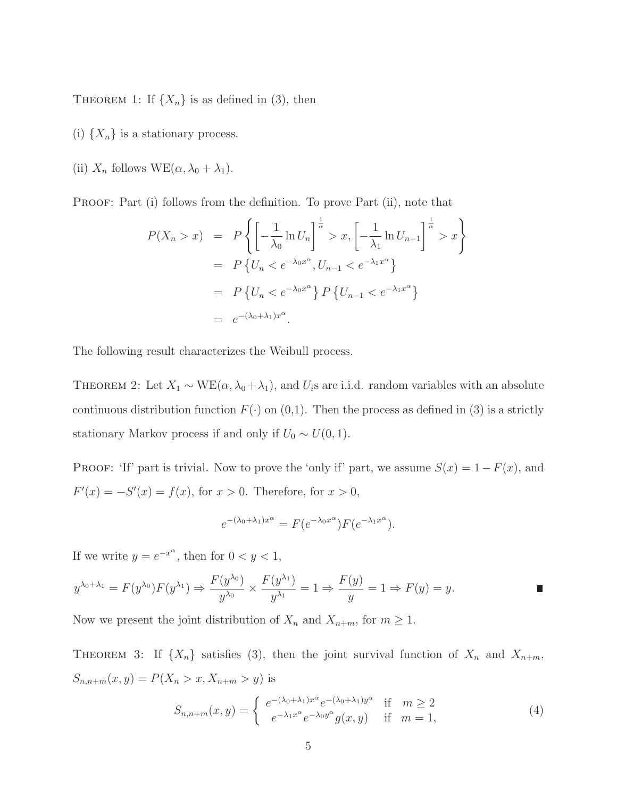THEOREM 1: If  $\{X_n\}$  is as defined in (3), then

- (i)  $\{X_n\}$  is a stationary process.
- (ii)  $X_n$  follows  $WE(\alpha, \lambda_0 + \lambda_1)$ .

PROOF: Part (i) follows from the definition. To prove Part (ii), note that

$$
P(X_n > x) = P\left\{ \left[ -\frac{1}{\lambda_0} \ln U_n \right]^{\frac{1}{\alpha}} > x, \left[ -\frac{1}{\lambda_1} \ln U_{n-1} \right]^{\frac{1}{\alpha}} > x \right\}
$$
  
= 
$$
P\left\{ U_n < e^{-\lambda_0 x^{\alpha}}, U_{n-1} < e^{-\lambda_1 x^{\alpha}} \right\}
$$
  
= 
$$
P\left\{ U_n < e^{-\lambda_0 x^{\alpha}} \right\} P\left\{ U_{n-1} < e^{-\lambda_1 x^{\alpha}} \right\}
$$
  
= 
$$
e^{-(\lambda_0 + \lambda_1)x^{\alpha}}.
$$

The following result characterizes the Weibull process.

THEOREM 2: Let  $X_1 \sim \text{WE}(\alpha, \lambda_0 + \lambda_1)$ , and  $U_i$ s are i.i.d. random variables with an absolute continuous distribution function  $F(\cdot)$  on  $(0,1)$ . Then the process as defined in (3) is a strictly stationary Markov process if and only if  $U_0 \sim U(0, 1)$ .

PROOF: 'If' part is trivial. Now to prove the 'only if' part, we assume  $S(x) = 1 - F(x)$ , and  $F'(x) = -S'(x) = f(x)$ , for  $x > 0$ . Therefore, for  $x > 0$ ,

$$
e^{-(\lambda_0 + \lambda_1)x^{\alpha}} = F(e^{-\lambda_0 x^{\alpha}})F(e^{-\lambda_1 x^{\alpha}}).
$$

If we write  $y = e^{-x^{\alpha}}$ , then for  $0 < y < 1$ ,

$$
y^{\lambda_0 + \lambda_1} = F(y^{\lambda_0})F(y^{\lambda_1}) \Rightarrow \frac{F(y^{\lambda_0})}{y^{\lambda_0}} \times \frac{F(y^{\lambda_1})}{y^{\lambda_1}} = 1 \Rightarrow \frac{F(y)}{y} = 1 \Rightarrow F(y) = y.
$$

Now we present the joint distribution of  $X_n$  and  $X_{n+m}$ , for  $m \geq 1$ .

THEOREM 3: If  $\{X_n\}$  satisfies (3), then the joint survival function of  $X_n$  and  $X_{n+m}$ ,  $S_{n,n+m}(x, y) = P(X_n > x, X_{n+m} > y)$  is

$$
S_{n,n+m}(x,y) = \begin{cases} e^{-(\lambda_0 + \lambda_1)x^{\alpha}} e^{-(\lambda_0 + \lambda_1)y^{\alpha}} & \text{if } m \ge 2\\ e^{-\lambda_1 x^{\alpha}} e^{-\lambda_0 y^{\alpha}} g(x,y) & \text{if } m = 1, \end{cases}
$$
(4)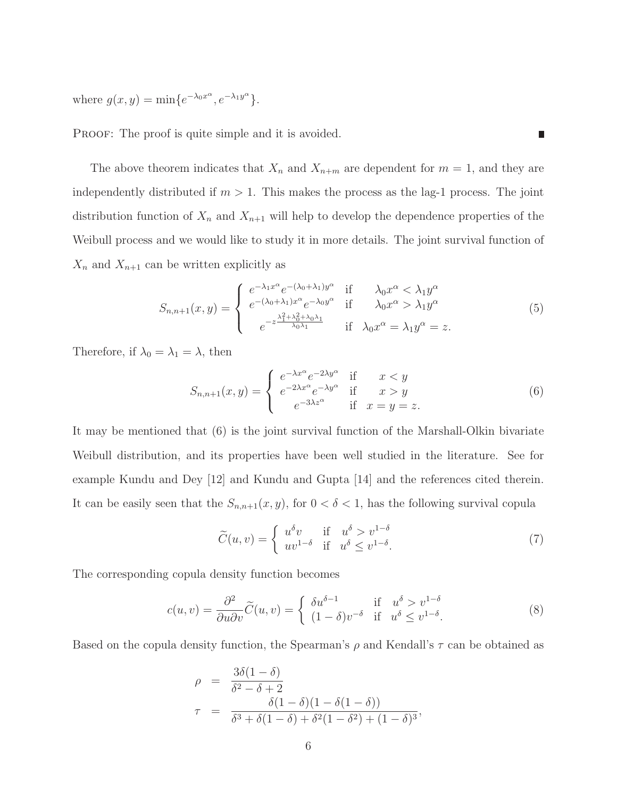where  $g(x, y) = \min\{e^{-\lambda_0 x^{\alpha}}, e^{-\lambda_1 y^{\alpha}}\}.$ 

PROOF: The proof is quite simple and it is avoided.

The above theorem indicates that  $X_n$  and  $X_{n+m}$  are dependent for  $m=1$ , and they are independently distributed if  $m > 1$ . This makes the process as the lag-1 process. The joint distribution function of  $X_n$  and  $X_{n+1}$  will help to develop the dependence properties of the Weibull process and we would like to study it in more details. The joint survival function of  $X_n$  and  $X_{n+1}$  can be written explicitly as

$$
S_{n,n+1}(x,y) = \begin{cases} e^{-\lambda_1 x^{\alpha}} e^{-(\lambda_0 + \lambda_1) y^{\alpha}} & \text{if } \lambda_0 x^{\alpha} < \lambda_1 y^{\alpha} \\ e^{-(\lambda_0 + \lambda_1) x^{\alpha}} e^{-\lambda_0 y^{\alpha}} & \text{if } \lambda_0 x^{\alpha} > \lambda_1 y^{\alpha} \\ e^{-z \frac{\lambda_1^2 + \lambda_0^2 + \lambda_0 \lambda_1}{\lambda_0 \lambda_1}} & \text{if } \lambda_0 x^{\alpha} = \lambda_1 y^{\alpha} = z. \end{cases}
$$
(5)

Therefore, if  $\lambda_0 = \lambda_1 = \lambda$ , then

$$
S_{n,n+1}(x,y) = \begin{cases} e^{-\lambda x^{\alpha}} e^{-2\lambda y^{\alpha}} & \text{if } x < y \\ e^{-2\lambda x^{\alpha}} e^{-\lambda y^{\alpha}} & \text{if } x > y \\ e^{-3\lambda z^{\alpha}} & \text{if } x = y = z. \end{cases}
$$
(6)

It may be mentioned that (6) is the joint survival function of the Marshall-Olkin bivariate Weibull distribution, and its properties have been well studied in the literature. See for example Kundu and Dey [12] and Kundu and Gupta [14] and the references cited therein. It can be easily seen that the  $S_{n,n+1}(x, y)$ , for  $0 < \delta < 1$ , has the following survival copula

$$
\widetilde{C}(u,v) = \begin{cases}\nu^{\delta}v & \text{if } u^{\delta} > v^{1-\delta} \\
uv^{1-\delta} & \text{if } u^{\delta} \le v^{1-\delta}.\n\end{cases}
$$
\n(7)

The corresponding copula density function becomes

$$
c(u,v) = \frac{\partial^2}{\partial u \partial v} \widetilde{C}(u,v) = \begin{cases} \delta u^{\delta-1} & \text{if } u^{\delta} > v^{1-\delta} \\ (1-\delta)v^{-\delta} & \text{if } u^{\delta} \le v^{1-\delta}. \end{cases}
$$
 (8)

Based on the copula density function, the Spearman's  $\rho$  and Kendall's  $\tau$  can be obtained as

$$
\rho = \frac{3\delta(1-\delta)}{\delta^2 - \delta + 2}
$$
  

$$
\tau = \frac{\delta(1-\delta)(1-\delta(1-\delta))}{\delta^3 + \delta(1-\delta) + \delta^2(1-\delta^2) + (1-\delta)^3},
$$

н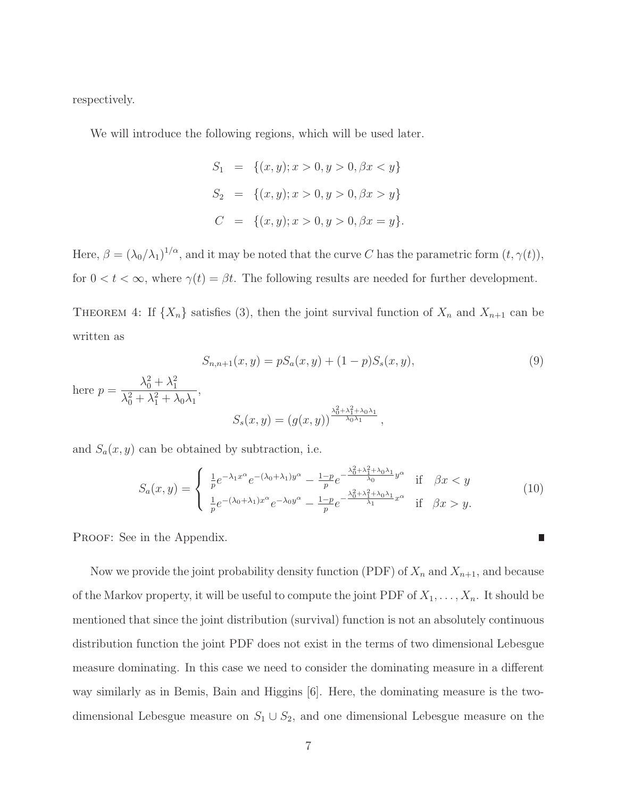respectively.

here  $p$ 

We will introduce the following regions, which will be used later.

$$
S_1 = \{(x, y); x > 0, y > 0, \beta x < y\}
$$
  
\n
$$
S_2 = \{(x, y); x > 0, y > 0, \beta x > y\}
$$
  
\n
$$
C = \{(x, y); x > 0, y > 0, \beta x = y\}.
$$

Here,  $\beta = (\lambda_0/\lambda_1)^{1/\alpha}$ , and it may be noted that the curve C has the parametric form  $(t, \gamma(t))$ , for  $0 < t < \infty$ , where  $\gamma(t) = \beta t$ . The following results are needed for further development.

THEOREM 4: If  $\{X_n\}$  satisfies (3), then the joint survival function of  $X_n$  and  $X_{n+1}$  can be written as

$$
S_{n,n+1}(x,y) = pS_a(x,y) + (1-p)S_s(x,y),
$$
  
= 
$$
\frac{\lambda_0^2 + \lambda_1^2}{\lambda_0^2 + \lambda_1^2 + \lambda_0\lambda_1},
$$
  

$$
S_s(x,y) = (g(x,y))^{\frac{\lambda_0^2 + \lambda_1^2 + \lambda_0\lambda_1}{\lambda_0\lambda_1}},
$$
 (9)

and  $S_a(x, y)$  can be obtained by subtraction, i.e.

$$
S_a(x,y) = \begin{cases} \frac{1}{p} e^{-\lambda_1 x^{\alpha}} e^{-(\lambda_0 + \lambda_1) y^{\alpha}} - \frac{1-p}{p} e^{-\frac{\lambda_0^2 + \lambda_1^2 + \lambda_0 \lambda_1}{\lambda_0} y^{\alpha}} & \text{if } \beta x < y \\ \frac{1}{p} e^{-(\lambda_0 + \lambda_1) x^{\alpha}} e^{-\lambda_0 y^{\alpha}} - \frac{1-p}{p} e^{-\frac{\lambda_0^2 + \lambda_1^2 + \lambda_0 \lambda_1}{\lambda_1} x^{\alpha}} & \text{if } \beta x > y. \end{cases}
$$
(10)

PROOF: See in the Appendix.

Now we provide the joint probability density function (PDF) of  $X_n$  and  $X_{n+1}$ , and because of the Markov property, it will be useful to compute the joint PDF of  $X_1, \ldots, X_n$ . It should be mentioned that since the joint distribution (survival) function is not an absolutely continuous distribution function the joint PDF does not exist in the terms of two dimensional Lebesgue measure dominating. In this case we need to consider the dominating measure in a different way similarly as in Bemis, Bain and Higgins [6]. Here, the dominating measure is the twodimensional Lebesgue measure on  $S_1 \cup S_2$ , and one dimensional Lebesgue measure on the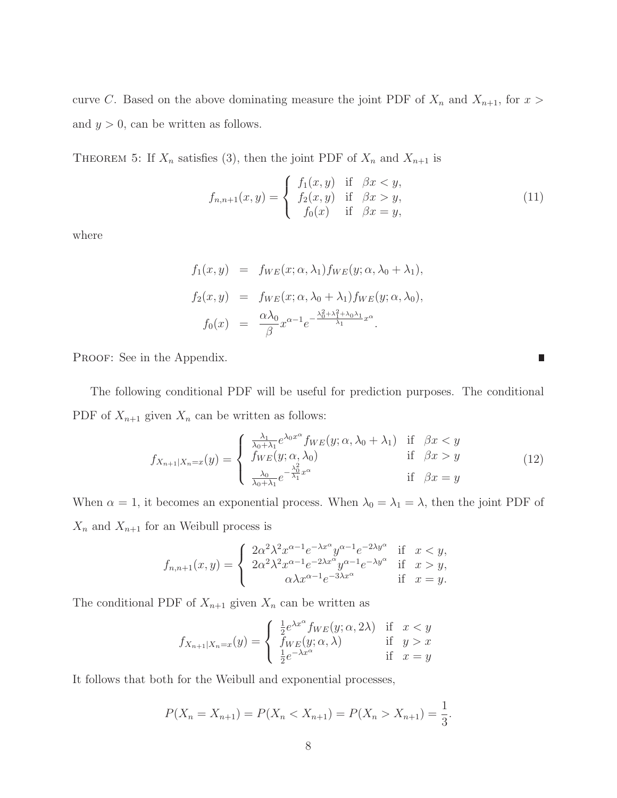curve C. Based on the above dominating measure the joint PDF of  $X_n$  and  $X_{n+1}$ , for  $x >$ and  $y > 0$ , can be written as follows.

THEOREM 5: If  $X_n$  satisfies (3), then the joint PDF of  $X_n$  and  $X_{n+1}$  is

$$
f_{n,n+1}(x,y) = \begin{cases} f_1(x,y) & \text{if } \beta x < y, \\ f_2(x,y) & \text{if } \beta x > y, \\ f_0(x) & \text{if } \beta x = y, \end{cases}
$$
 (11)

 $\overline{\phantom{a}}$ 

where

$$
f_1(x, y) = f_{WE}(x; \alpha, \lambda_1) f_{WE}(y; \alpha, \lambda_0 + \lambda_1),
$$
  
\n
$$
f_2(x, y) = f_{WE}(x; \alpha, \lambda_0 + \lambda_1) f_{WE}(y; \alpha, \lambda_0),
$$
  
\n
$$
f_0(x) = \frac{\alpha \lambda_0}{\beta} x^{\alpha - 1} e^{-\frac{\lambda_0^2 + \lambda_1^2 + \lambda_0 \lambda_1}{\lambda_1} x^{\alpha}}.
$$

PROOF: See in the Appendix.

The following conditional PDF will be useful for prediction purposes. The conditional PDF of  $X_{n+1}$  given  $X_n$  can be written as follows:

$$
f_{X_{n+1}|X_n=x}(y) = \begin{cases} \frac{\lambda_1}{\lambda_0 + \lambda_1} e^{\lambda_0 x^{\alpha}} f_{WE}(y; \alpha, \lambda_0 + \lambda_1) & \text{if } \beta x < y \\ f_{WE}(y; \alpha, \lambda_0) & \text{if } \beta x > y \\ \frac{\lambda_0}{\lambda_0 + \lambda_1} e^{-\frac{\lambda_0^2}{\lambda_1} x^{\alpha}} & \text{if } \beta x = y \end{cases}
$$
(12)

When  $\alpha = 1$ , it becomes an exponential process. When  $\lambda_0 = \lambda_1 = \lambda$ , then the joint PDF of  $X_n$  and  $X_{n+1}$  for an Weibull process is

$$
f_{n,n+1}(x,y) = \begin{cases} 2\alpha^2 \lambda^2 x^{\alpha-1} e^{-\lambda x^{\alpha}} y^{\alpha-1} e^{-2\lambda y^{\alpha}} & \text{if } x < y, \\ 2\alpha^2 \lambda^2 x^{\alpha-1} e^{-2\lambda x^{\alpha}} y^{\alpha-1} e^{-\lambda y^{\alpha}} & \text{if } x > y, \\ \alpha \lambda x^{\alpha-1} e^{-3\lambda x^{\alpha}} & \text{if } x = y. \end{cases}
$$

The conditional PDF of  $X_{n+1}$  given  $X_n$  can be written as

$$
f_{X_{n+1}|X_n=x}(y) = \begin{cases} \frac{1}{2}e^{\lambda x^{\alpha}} f_{WE}(y; \alpha, 2\lambda) & \text{if } x < y \\ f_{WE}(y; \alpha, \lambda) & \text{if } y > x \\ \frac{1}{2}e^{-\lambda x^{\alpha}} & \text{if } x = y \end{cases}
$$

It follows that both for the Weibull and exponential processes,

$$
P(X_n = X_{n+1}) = P(X_n < X_{n+1}) = P(X_n > X_{n+1}) = \frac{1}{3}.
$$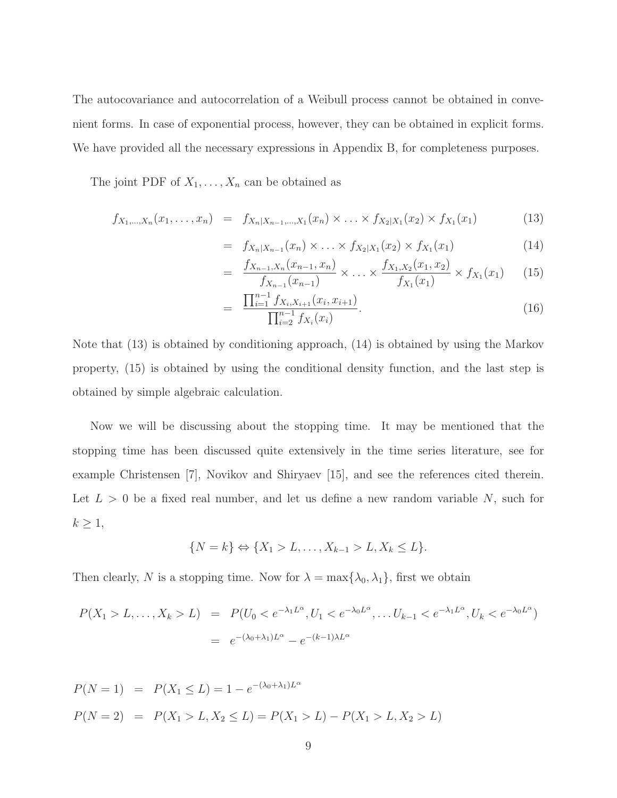The autocovariance and autocorrelation of a Weibull process cannot be obtained in convenient forms. In case of exponential process, however, they can be obtained in explicit forms. We have provided all the necessary expressions in Appendix B, for completeness purposes.

The joint PDF of  $X_1, \ldots, X_n$  can be obtained as

$$
f_{X_1,\ldots,X_n}(x_1,\ldots,x_n) = f_{X_n|X_{n-1},\ldots,X_1}(x_n) \times \ldots \times f_{X_2|X_1}(x_2) \times f_{X_1}(x_1) \tag{13}
$$

$$
= f_{X_n|X_{n-1}}(x_n) \times \ldots \times f_{X_2|X_1}(x_2) \times f_{X_1}(x_1) \tag{14}
$$

$$
= \frac{f_{X_{n-1},X_n}(x_{n-1},x_n)}{f_{X_{n-1}}(x_{n-1})} \times \ldots \times \frac{f_{X_1,X_2}(x_1,x_2)}{f_{X_1}(x_1)} \times f_{X_1}(x_1) \qquad (15)
$$

$$
= \frac{\prod_{i=1}^{n-1} f_{X_i, X_{i+1}}(x_i, x_{i+1})}{\prod_{i=2}^{n-1} f_{X_i}(x_i)}.
$$
\n(16)

Note that (13) is obtained by conditioning approach, (14) is obtained by using the Markov property, (15) is obtained by using the conditional density function, and the last step is obtained by simple algebraic calculation.

Now we will be discussing about the stopping time. It may be mentioned that the stopping time has been discussed quite extensively in the time series literature, see for example Christensen [7], Novikov and Shiryaev [15], and see the references cited therein. Let  $L > 0$  be a fixed real number, and let us define a new random variable N, such for  $k \geq 1$ ,

$$
\{N = k\} \Leftrightarrow \{X_1 > L, \dots, X_{k-1} > L, X_k \le L\}.
$$

Then clearly, N is a stopping time. Now for  $\lambda = \max{\{\lambda_0, \lambda_1\}}$ , first we obtain

$$
P(X_1 > L, ..., X_k > L) = P(U_0 < e^{-\lambda_1 L^{\alpha}}, U_1 < e^{-\lambda_0 L^{\alpha}}, ... U_{k-1} < e^{-\lambda_1 L^{\alpha}}, U_k < e^{-\lambda_0 L^{\alpha}})
$$
  
=  $e^{-(\lambda_0 + \lambda_1)L^{\alpha}} - e^{-(k-1)\lambda L^{\alpha}}$ 

$$
P(N = 1) = P(X_1 \le L) = 1 - e^{-(\lambda_0 + \lambda_1)L^{\alpha}}
$$
  

$$
P(N = 2) = P(X_1 > L, X_2 \le L) = P(X_1 > L) - P(X_1 > L, X_2 > L)
$$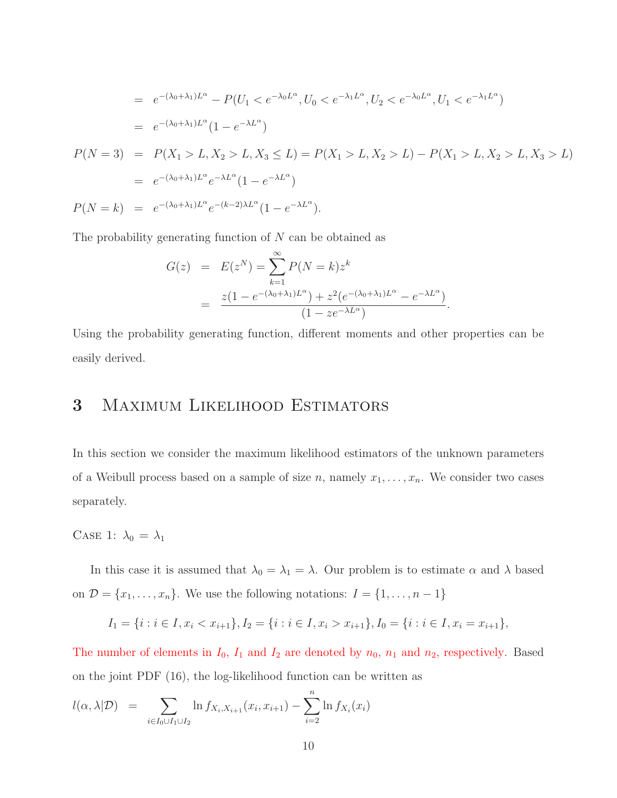$$
= e^{-(\lambda_0 + \lambda_1)L^{\alpha}} - P(U_1 < e^{-\lambda_0 L^{\alpha}}, U_0 < e^{-\lambda_1 L^{\alpha}}, U_2 < e^{-\lambda_0 L^{\alpha}}, U_1 < e^{-\lambda_1 L^{\alpha}})
$$
  
\n
$$
= e^{-(\lambda_0 + \lambda_1)L^{\alpha}} (1 - e^{-\lambda L^{\alpha}})
$$
  
\n
$$
P(N = 3) = P(X_1 > L, X_2 > L, X_3 \le L) = P(X_1 > L, X_2 > L) - P(X_1 > L, X_2 > L, X_3 > L)
$$
  
\n
$$
= e^{-(\lambda_0 + \lambda_1)L^{\alpha}} e^{-\lambda L^{\alpha}} (1 - e^{-\lambda L^{\alpha}})
$$
  
\n
$$
P(N = k) = e^{-(\lambda_0 + \lambda_1)L^{\alpha}} e^{-(k-2)\lambda L^{\alpha}} (1 - e^{-\lambda L^{\alpha}}).
$$

The probability generating function of  $N$  can be obtained as

$$
G(z) = E(z^N) = \sum_{k=1}^{\infty} P(N = k) z^k
$$
  
= 
$$
\frac{z(1 - e^{-(\lambda_0 + \lambda_1)L^{\alpha}}) + z^2 (e^{-(\lambda_0 + \lambda_1)L^{\alpha}} - e^{-\lambda L^{\alpha}})}{(1 - ze^{-\lambda L^{\alpha}})}.
$$

Using the probability generating function, different moments and other properties can be easily derived.

## 3 Maximum Likelihood Estimators

In this section we consider the maximum likelihood estimators of the unknown parameters of a Weibull process based on a sample of size n, namely  $x_1, \ldots, x_n$ . We consider two cases separately.

CASE 1:  $\lambda_0 = \lambda_1$ 

In this case it is assumed that  $\lambda_0 = \lambda_1 = \lambda$ . Our problem is to estimate  $\alpha$  and  $\lambda$  based on  $\mathcal{D} = \{x_1, \ldots, x_n\}$ . We use the following notations:  $I = \{1, \ldots, n-1\}$ 

$$
I_1 = \{i : i \in I, x_i < x_{i+1}\}, I_2 = \{i : i \in I, x_i > x_{i+1}\}, I_0 = \{i : i \in I, x_i = x_{i+1}\},
$$

The number of elements in  $I_0$ ,  $I_1$  and  $I_2$  are denoted by  $n_0$ ,  $n_1$  and  $n_2$ , respectively. Based on the joint PDF (16), the log-likelihood function can be written as

$$
l(\alpha, \lambda | \mathcal{D}) = \sum_{i \in I_0 \cup I_1 \cup I_2} \ln f_{X_i, X_{i+1}}(x_i, x_{i+1}) - \sum_{i=2}^n \ln f_{X_i}(x_i)
$$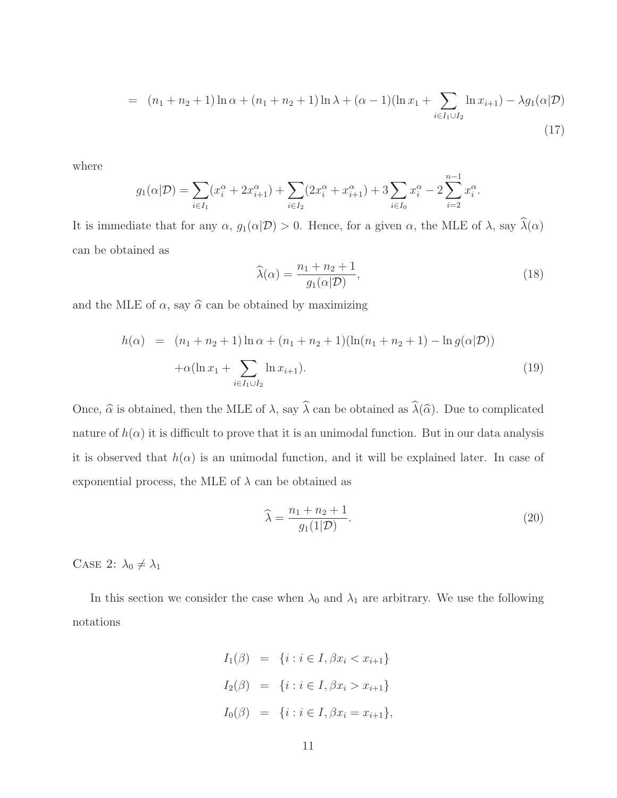$$
= (n_1 + n_2 + 1) \ln \alpha + (n_1 + n_2 + 1) \ln \lambda + (\alpha - 1) (\ln x_1 + \sum_{i \in I_1 \cup I_2} \ln x_{i+1}) - \lambda g_1(\alpha | \mathcal{D})
$$
\n(17)

where

$$
g_1(\alpha|\mathcal{D}) = \sum_{i \in I_1} (x_i^{\alpha} + 2x_{i+1}^{\alpha}) + \sum_{i \in I_2} (2x_i^{\alpha} + x_{i+1}^{\alpha}) + 3\sum_{i \in I_0} x_i^{\alpha} - 2\sum_{i=2}^{n-1} x_i^{\alpha}.
$$

It is immediate that for any  $\alpha$ ,  $g_1(\alpha|\mathcal{D}) > 0$ . Hence, for a given  $\alpha$ , the MLE of  $\lambda$ , say  $\widehat{\lambda}(\alpha)$ can be obtained as

$$
\widehat{\lambda}(\alpha) = \frac{n_1 + n_2 + 1}{g_1(\alpha|\mathcal{D})},\tag{18}
$$

and the MLE of  $\alpha$ , say  $\hat{\alpha}$  can be obtained by maximizing

$$
h(\alpha) = (n_1 + n_2 + 1) \ln \alpha + (n_1 + n_2 + 1) (\ln(n_1 + n_2 + 1) - \ln g(\alpha | \mathcal{D}))
$$
  
 
$$
+ \alpha (\ln x_1 + \sum_{i \in I_1 \cup I_2} \ln x_{i+1}).
$$
 (19)

Once,  $\widehat{\alpha}$  is obtained, then the MLE of  $\lambda$ , say  $\widehat{\lambda}$  can be obtained as  $\widehat{\lambda}(\widehat{\alpha})$ . Due to complicated nature of  $h(\alpha)$  it is difficult to prove that it is an unimodal function. But in our data analysis it is observed that  $h(\alpha)$  is an unimodal function, and it will be explained later. In case of exponential process, the MLE of  $\lambda$  can be obtained as

$$
\widehat{\lambda} = \frac{n_1 + n_2 + 1}{g_1(1|\mathcal{D})}.
$$
\n(20)

CASE 2:  $\lambda_0 \neq \lambda_1$ 

In this section we consider the case when  $\lambda_0$  and  $\lambda_1$  are arbitrary. We use the following notations

$$
I_1(\beta) = \{i : i \in I, \beta x_i < x_{i+1}\}
$$
\n
$$
I_2(\beta) = \{i : i \in I, \beta x_i > x_{i+1}\}
$$
\n
$$
I_0(\beta) = \{i : i \in I, \beta x_i = x_{i+1}\},
$$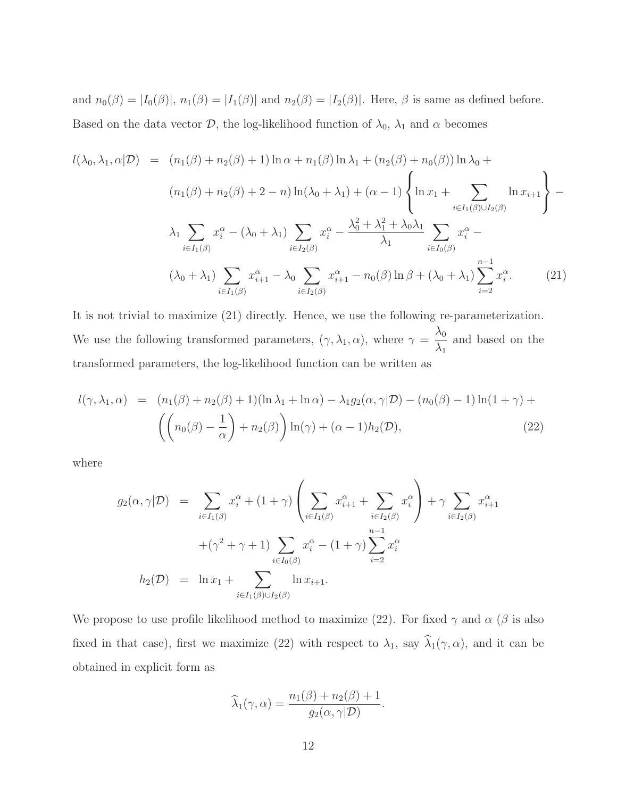and  $n_0(\beta) = |I_0(\beta)|$ ,  $n_1(\beta) = |I_1(\beta)|$  and  $n_2(\beta) = |I_2(\beta)|$ . Here,  $\beta$  is same as defined before. Based on the data vector  $\mathcal{D}$ , the log-likelihood function of  $\lambda_0$ ,  $\lambda_1$  and  $\alpha$  becomes

$$
l(\lambda_0, \lambda_1, \alpha | \mathcal{D}) = (n_1(\beta) + n_2(\beta) + 1) \ln \alpha + n_1(\beta) \ln \lambda_1 + (n_2(\beta) + n_0(\beta)) \ln \lambda_0 +
$$
  

$$
(n_1(\beta) + n_2(\beta) + 2 - n) \ln(\lambda_0 + \lambda_1) + (\alpha - 1) \left\{ \ln x_1 + \sum_{i \in I_1(\beta) \cup I_2(\beta)} \ln x_{i+1} \right\} -
$$
  

$$
\lambda_1 \sum_{i \in I_1(\beta)} x_i^{\alpha} - (\lambda_0 + \lambda_1) \sum_{i \in I_2(\beta)} x_i^{\alpha} - \frac{\lambda_0^2 + \lambda_1^2 + \lambda_0 \lambda_1}{\lambda_1} \sum_{i \in I_0(\beta)} x_i^{\alpha} -
$$
  

$$
(\lambda_0 + \lambda_1) \sum_{i \in I_1(\beta)} x_{i+1}^{\alpha} - \lambda_0 \sum_{i \in I_2(\beta)} x_{i+1}^{\alpha} - n_0(\beta) \ln \beta + (\lambda_0 + \lambda_1) \sum_{i=2}^{n-1} x_i^{\alpha}.
$$
 (21)

It is not trivial to maximize (21) directly. Hence, we use the following re-parameterization. We use the following transformed parameters,  $(\gamma, \lambda_1, \alpha)$ , where  $\gamma =$  $\lambda_0$  $\lambda_1$ and based on the transformed parameters, the log-likelihood function can be written as

$$
l(\gamma, \lambda_1, \alpha) = (n_1(\beta) + n_2(\beta) + 1)(\ln \lambda_1 + \ln \alpha) - \lambda_1 g_2(\alpha, \gamma | \mathcal{D}) - (n_0(\beta) - 1)\ln(1 + \gamma) +
$$

$$
\left( \left( n_0(\beta) - \frac{1}{\alpha} \right) + n_2(\beta) \right) \ln(\gamma) + (\alpha - 1)h_2(\mathcal{D}), \tag{22}
$$

where

$$
g_2(\alpha, \gamma | \mathcal{D}) = \sum_{i \in I_1(\beta)} x_i^{\alpha} + (1 + \gamma) \left( \sum_{i \in I_1(\beta)} x_{i+1}^{\alpha} + \sum_{i \in I_2(\beta)} x_i^{\alpha} \right) + \gamma \sum_{i \in I_2(\beta)} x_{i+1}^{\alpha}
$$

$$
+ (\gamma^2 + \gamma + 1) \sum_{i \in I_0(\beta)} x_i^{\alpha} - (1 + \gamma) \sum_{i=2}^{n-1} x_i^{\alpha}
$$

$$
h_2(\mathcal{D}) = \ln x_1 + \sum_{i \in I_1(\beta) \cup I_2(\beta)} \ln x_{i+1}.
$$

We propose to use profile likelihood method to maximize (22). For fixed  $\gamma$  and  $\alpha$  ( $\beta$  is also fixed in that case), first we maximize (22) with respect to  $\lambda_1$ , say  $\hat{\lambda}_1(\gamma, \alpha)$ , and it can be obtained in explicit form as

$$
\widehat{\lambda}_1(\gamma,\alpha) = \frac{n_1(\beta) + n_2(\beta) + 1}{g_2(\alpha,\gamma|\mathcal{D})}.
$$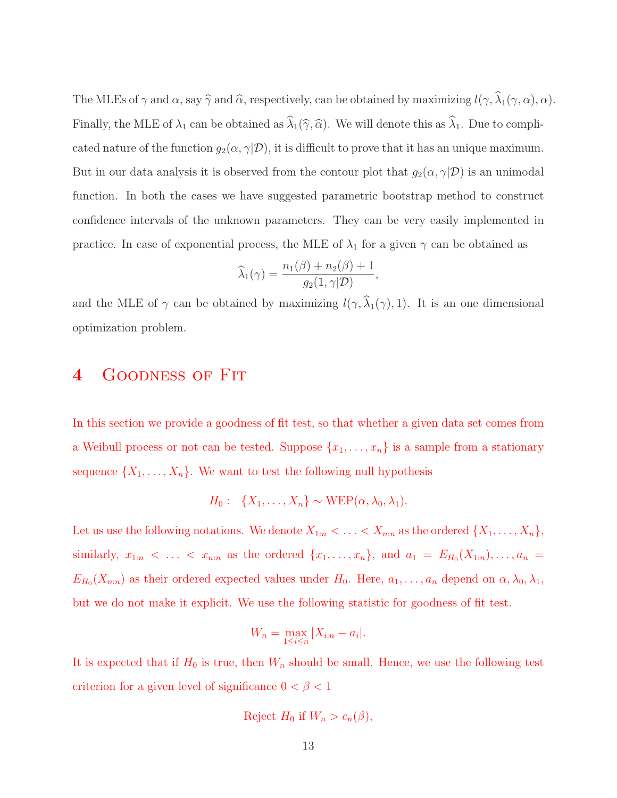The MLEs of  $\gamma$  and  $\alpha$ , say  $\widehat{\gamma}$  and  $\widehat{\alpha}$ , respectively, can be obtained by maximizing  $l(\gamma, \widehat{\lambda}_1(\gamma, \alpha), \alpha)$ . Finally, the MLE of  $\lambda_1$  can be obtained as  $\widehat{\lambda}_1(\widehat{\gamma}, \widehat{\alpha})$ . We will denote this as  $\widehat{\lambda}_1$ . Due to complicated nature of the function  $g_2(\alpha, \gamma | \mathcal{D})$ , it is difficult to prove that it has an unique maximum. But in our data analysis it is observed from the contour plot that  $g_2(\alpha, \gamma | \mathcal{D})$  is an unimodal function. In both the cases we have suggested parametric bootstrap method to construct confidence intervals of the unknown parameters. They can be very easily implemented in practice. In case of exponential process, the MLE of  $\lambda_1$  for a given  $\gamma$  can be obtained as

$$
\widehat{\lambda}_1(\gamma) = \frac{n_1(\beta) + n_2(\beta) + 1}{g_2(1, \gamma | \mathcal{D})},
$$

and the MLE of  $\gamma$  can be obtained by maximizing  $l(\gamma, \hat{\lambda}_1(\gamma), 1)$ . It is an one dimensional optimization problem.

## 4 Goodness of Fit

In this section we provide a goodness of fit test, so that whether a given data set comes from a Weibull process or not can be tested. Suppose  $\{x_1, \ldots, x_n\}$  is a sample from a stationary sequence  $\{X_1, \ldots, X_n\}$ . We want to test the following null hypothesis

$$
H_0: \ \{X_1,\ldots,X_n\} \sim \text{WEP}(\alpha,\lambda_0,\lambda_1).
$$

Let us use the following notations. We denote  $X_{1:n} < \ldots < X_{n:n}$  as the ordered  $\{X_1, \ldots, X_n\}$ , similarly,  $x_{1:n} < ... < x_{n:n}$  as the ordered  $\{x_1,...,x_n\}$ , and  $a_1 = E_{H_0}(X_{1:n}),..., a_n =$  $E_{H_0}(X_{n:n})$  as their ordered expected values under  $H_0$ . Here,  $a_1, \ldots, a_n$  depend on  $\alpha, \lambda_0, \lambda_1$ , but we do not make it explicit. We use the following statistic for goodness of fit test.

$$
W_n = \max_{1 \le i \le n} |X_{i:n} - a_i|.
$$

It is expected that if  $H_0$  is true, then  $W_n$  should be small. Hence, we use the following test criterion for a given level of significance  $0<\beta<1$ 

$$
Reject H_0 if W_n > c_n(\beta),
$$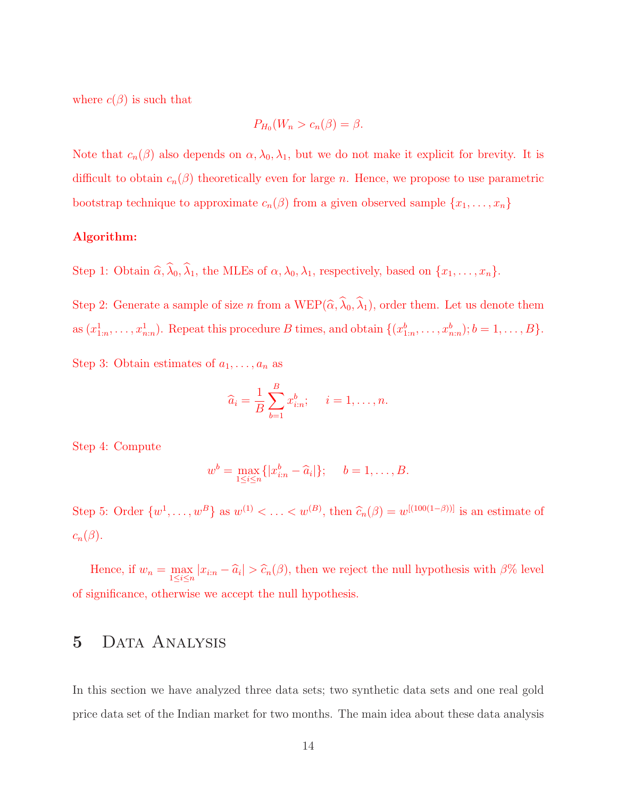where  $c(\beta)$  is such that

$$
P_{H_0}(W_n > c_n(\beta) = \beta.
$$

Note that  $c_n(\beta)$  also depends on  $\alpha, \lambda_0, \lambda_1$ , but we do not make it explicit for brevity. It is difficult to obtain  $c_n(\beta)$  theoretically even for large n. Hence, we propose to use parametric bootstrap technique to approximate  $c_n(\beta)$  from a given observed sample  $\{x_1, \ldots, x_n\}$ 

#### Algorithm:

Step 1: Obtain  $\widehat{\alpha}$ ,  $\widehat{\lambda}_0$ ,  $\widehat{\lambda}_1$ , the MLEs of  $\alpha$ ,  $\lambda_0$ ,  $\lambda_1$ , respectively, based on  $\{x_1, \ldots, x_n\}$ .

Step 2: Generate a sample of size n from a WEP( $\hat{\alpha}, \hat{\lambda}_0, \hat{\lambda}_1$ ), order them. Let us denote them as  $(x_{1:n}^1, \ldots, x_{n:n}^1)$ . Repeat this procedure B times, and obtain  $\{(x_{1:n}^b, \ldots, x_{n:n}^b); b = 1, \ldots, B\}$ .

Step 3: Obtain estimates of  $a_1, \ldots, a_n$  as

$$
\widehat{a}_i = \frac{1}{B} \sum_{b=1}^B x_{i:n}^b; \quad i = 1, \dots, n.
$$

Step 4: Compute

$$
w^b = \max_{1 \le i \le n} \{|x_{i:n}^b - \widehat{a}_i|\}; \quad b = 1, ..., B.
$$

Step 5: Order  $\{w^1, \ldots, w^B\}$  as  $w^{(1)} < \ldots < w^{(B)}$ , then  $\widehat{c}_n(\beta) = w^{[(100(1-\beta))]}$  is an estimate of  $c_n(\beta)$ .

Hence, if  $w_n = \max_{1 \leq i \leq n} |x_{i:n} - \widehat{a}_i| > \widehat{c}_n(\beta)$ , then we reject the null hypothesis with  $\beta\%$  level of significance, otherwise we accept the null hypothesis.

### 5 Data Analysis

In this section we have analyzed three data sets; two synthetic data sets and one real gold price data set of the Indian market for two months. The main idea about these data analysis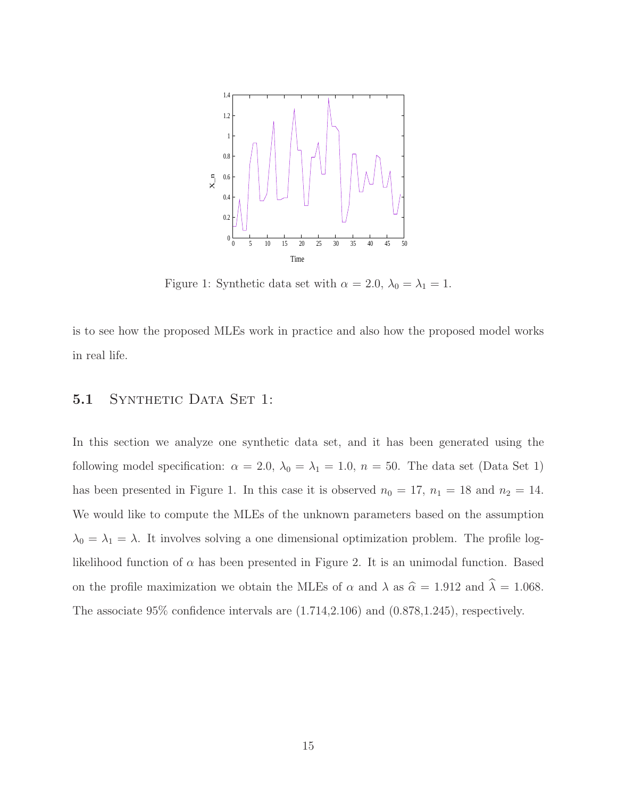

Figure 1: Synthetic data set with  $\alpha = 2.0$ ,  $\lambda_0 = \lambda_1 = 1$ .

is to see how the proposed MLEs work in practice and also how the proposed model works in real life.

#### 5.1 SYNTHETIC DATA SET 1:

In this section we analyze one synthetic data set, and it has been generated using the following model specification:  $\alpha = 2.0$ ,  $\lambda_0 = \lambda_1 = 1.0$ ,  $n = 50$ . The data set (Data Set 1) has been presented in Figure 1. In this case it is observed  $n_0 = 17$ ,  $n_1 = 18$  and  $n_2 = 14$ . We would like to compute the MLEs of the unknown parameters based on the assumption  $\lambda_0 = \lambda_1 = \lambda$ . It involves solving a one dimensional optimization problem. The profile loglikelihood function of  $\alpha$  has been presented in Figure 2. It is an unimodal function. Based on the profile maximization we obtain the MLEs of  $\alpha$  and  $\lambda$  as  $\hat{\alpha} = 1.912$  and  $\hat{\lambda} = 1.068$ . The associate 95% confidence intervals are (1.714,2.106) and (0.878,1.245), respectively.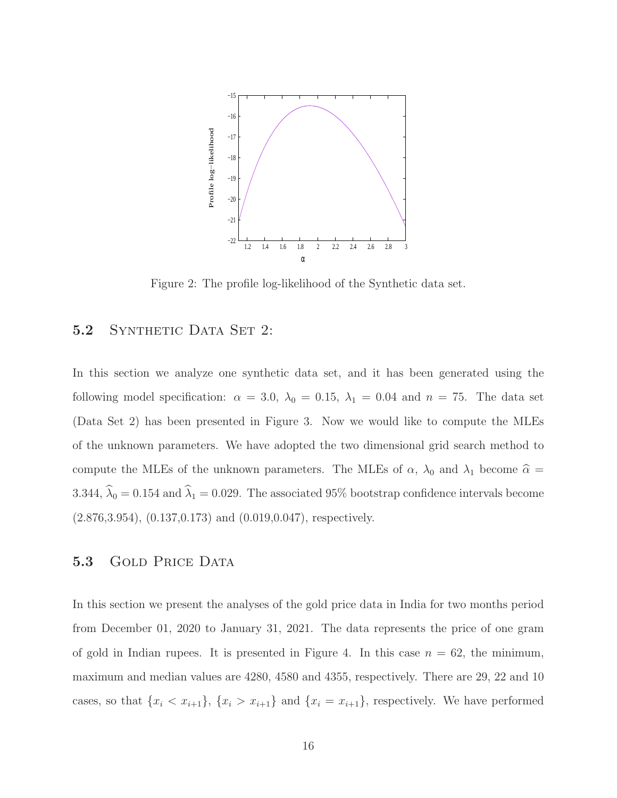

Figure 2: The profile log-likelihood of the Synthetic data set.

#### 5.2 SYNTHETIC DATA SET 2:

In this section we analyze one synthetic data set, and it has been generated using the following model specification:  $\alpha = 3.0$ ,  $\lambda_0 = 0.15$ ,  $\lambda_1 = 0.04$  and  $n = 75$ . The data set (Data Set 2) has been presented in Figure 3. Now we would like to compute the MLEs of the unknown parameters. We have adopted the two dimensional grid search method to compute the MLEs of the unknown parameters. The MLEs of  $\alpha$ ,  $\lambda_0$  and  $\lambda_1$  become  $\hat{\alpha} =$ 3.344,  $\hat{\lambda}_0 = 0.154$  and  $\hat{\lambda}_1 = 0.029$ . The associated 95% bootstrap confidence intervals become (2.876,3.954), (0.137,0.173) and (0.019,0.047), respectively.

#### 5.3 GOLD PRICE DATA

In this section we present the analyses of the gold price data in India for two months period from December 01, 2020 to January 31, 2021. The data represents the price of one gram of gold in Indian rupees. It is presented in Figure 4. In this case  $n = 62$ , the minimum, maximum and median values are 4280, 4580 and 4355, respectively. There are 29, 22 and 10 cases, so that  $\{x_i < x_{i+1}\}, \{x_i > x_{i+1}\}$  and  $\{x_i = x_{i+1}\},$  respectively. We have performed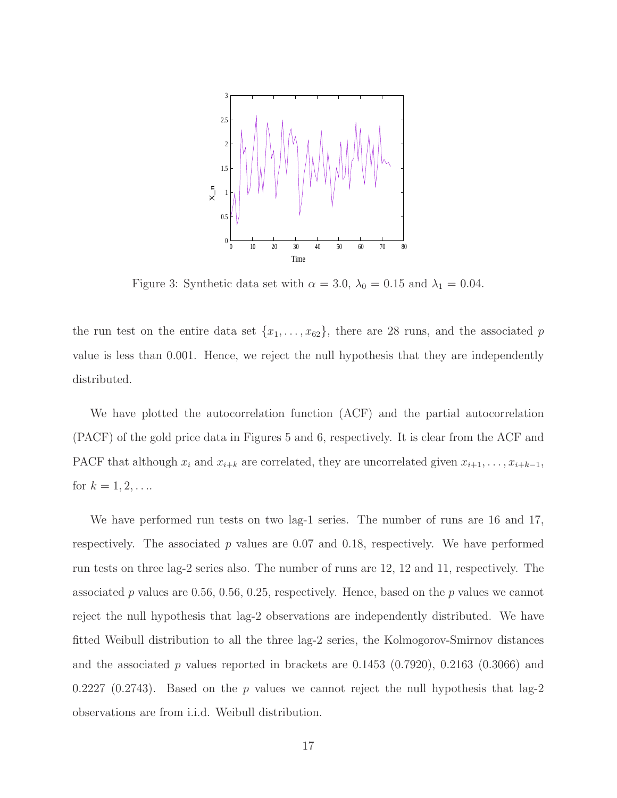

Figure 3: Synthetic data set with  $\alpha = 3.0$ ,  $\lambda_0 = 0.15$  and  $\lambda_1 = 0.04$ .

the run test on the entire data set  $\{x_1, \ldots, x_{62}\}$ , there are 28 runs, and the associated p value is less than 0.001. Hence, we reject the null hypothesis that they are independently distributed.

We have plotted the autocorrelation function (ACF) and the partial autocorrelation (PACF) of the gold price data in Figures 5 and 6, respectively. It is clear from the ACF and PACF that although  $x_i$  and  $x_{i+k}$  are correlated, they are uncorrelated given  $x_{i+1}, \ldots, x_{i+k-1}$ , for  $k = 1, 2, ...$ 

We have performed run tests on two lag-1 series. The number of runs are 16 and 17, respectively. The associated  $p$  values are 0.07 and 0.18, respectively. We have performed run tests on three lag-2 series also. The number of runs are 12, 12 and 11, respectively. The associated p values are 0.56, 0.56, 0.25, respectively. Hence, based on the p values we cannot reject the null hypothesis that lag-2 observations are independently distributed. We have fitted Weibull distribution to all the three lag-2 series, the Kolmogorov-Smirnov distances and the associated p values reported in brackets are  $0.1453$   $(0.7920)$ ,  $0.2163$   $(0.3066)$  and 0.2227 (0.2743). Based on the p values we cannot reject the null hypothesis that lag-2 observations are from i.i.d. Weibull distribution.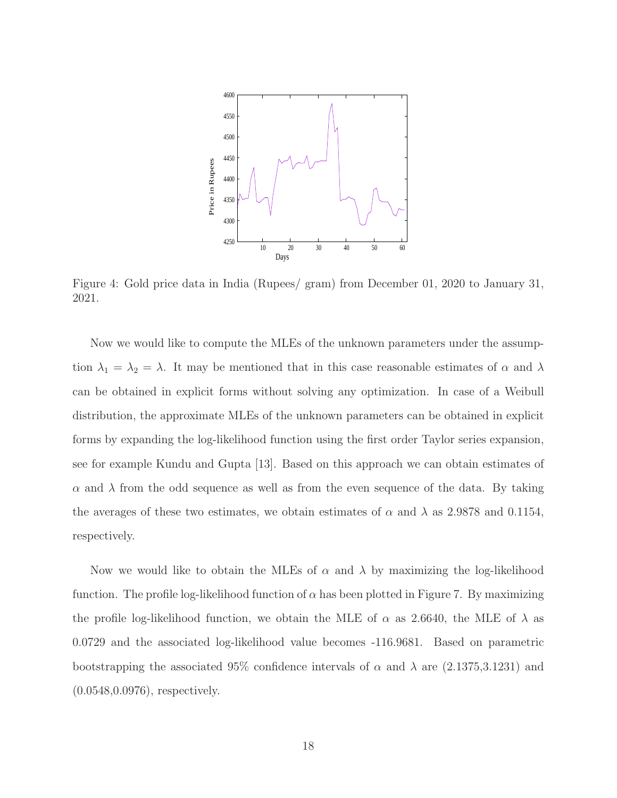

Figure 4: Gold price data in India (Rupees/ gram) from December 01, 2020 to January 31, 2021.

Now we would like to compute the MLEs of the unknown parameters under the assumption  $\lambda_1 = \lambda_2 = \lambda$ . It may be mentioned that in this case reasonable estimates of  $\alpha$  and  $\lambda$ can be obtained in explicit forms without solving any optimization. In case of a Weibull distribution, the approximate MLEs of the unknown parameters can be obtained in explicit forms by expanding the log-likelihood function using the first order Taylor series expansion, see for example Kundu and Gupta [13]. Based on this approach we can obtain estimates of  $\alpha$  and  $\lambda$  from the odd sequence as well as from the even sequence of the data. By taking the averages of these two estimates, we obtain estimates of  $\alpha$  and  $\lambda$  as 2.9878 and 0.1154, respectively.

Now we would like to obtain the MLEs of  $\alpha$  and  $\lambda$  by maximizing the log-likelihood function. The profile log-likelihood function of  $\alpha$  has been plotted in Figure 7. By maximizing the profile log-likelihood function, we obtain the MLE of  $\alpha$  as 2.6640, the MLE of  $\lambda$  as 0.0729 and the associated log-likelihood value becomes -116.9681. Based on parametric bootstrapping the associated 95% confidence intervals of  $\alpha$  and  $\lambda$  are (2.1375,3.1231) and (0.0548,0.0976), respectively.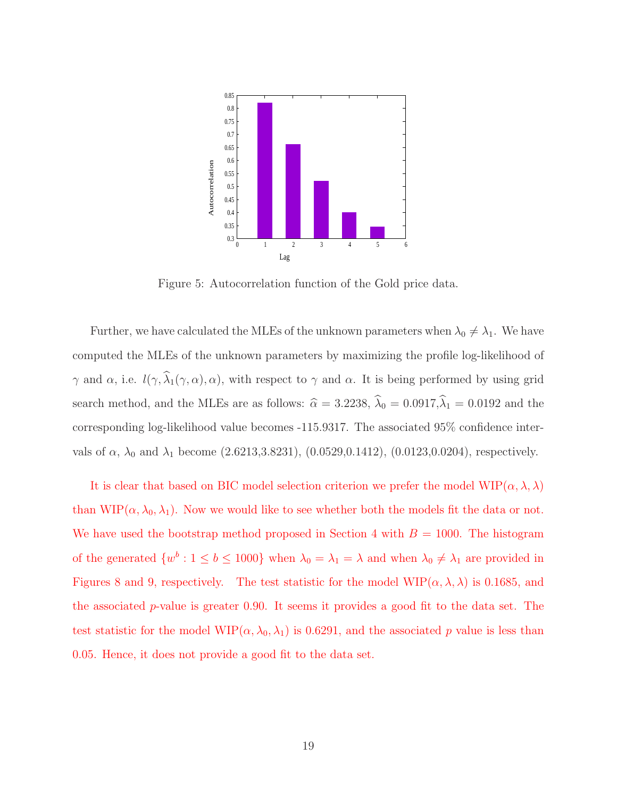

Figure 5: Autocorrelation function of the Gold price data.

Further, we have calculated the MLEs of the unknown parameters when  $\lambda_0 \neq \lambda_1$ . We have computed the MLEs of the unknown parameters by maximizing the profile log-likelihood of γ and α, i.e.  $l(\gamma, \hat{\lambda}_1(\gamma, \alpha), \alpha)$ , with respect to γ and α. It is being performed by using grid search method, and the MLEs are as follows:  $\hat{\alpha} = 3.2238, \hat{\lambda}_0 = 0.0917, \hat{\lambda}_1 = 0.0192$  and the corresponding log-likelihood value becomes -115.9317. The associated 95% confidence intervals of  $\alpha$ ,  $\lambda_0$  and  $\lambda_1$  become (2.6213,3.8231), (0.0529,0.1412), (0.0123,0.0204), respectively.

It is clear that based on BIC model selection criterion we prefer the model  $\text{WIP}(\alpha, \lambda, \lambda)$ than WIP( $\alpha, \lambda_0, \lambda_1$ ). Now we would like to see whether both the models fit the data or not. We have used the bootstrap method proposed in Section 4 with  $B = 1000$ . The histogram of the generated  $\{w^b: 1 \leq b \leq 1000\}$  when  $\lambda_0 = \lambda_1 = \lambda$  and when  $\lambda_0 \neq \lambda_1$  are provided in Figures 8 and 9, respectively. The test statistic for the model  $\text{WIP}(\alpha, \lambda, \lambda)$  is 0.1685, and the associated  $p$ -value is greater 0.90. It seems it provides a good fit to the data set. The test statistic for the model WIP $(\alpha, \lambda_0, \lambda_1)$  is 0.6291, and the associated p value is less than 0.05. Hence, it does not provide a good fit to the data set.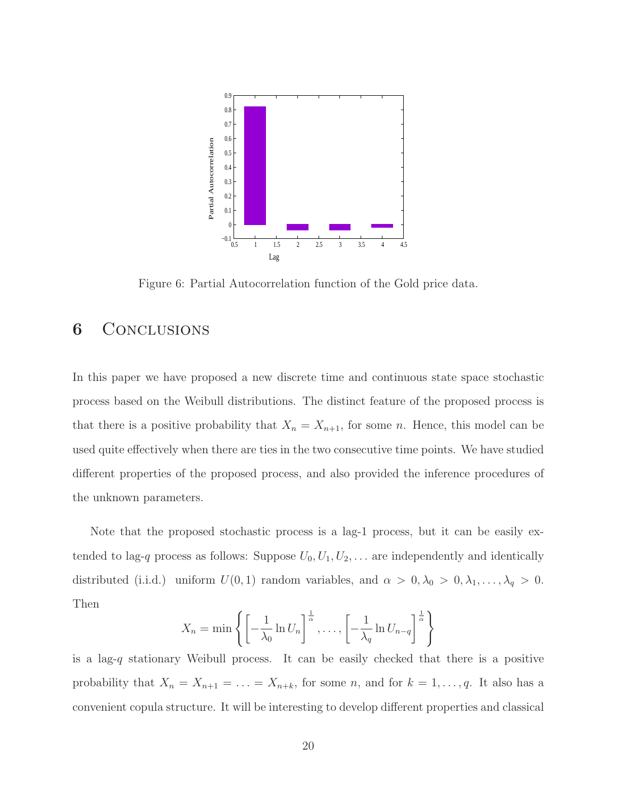

Figure 6: Partial Autocorrelation function of the Gold price data.

## 6 Conclusions

In this paper we have proposed a new discrete time and continuous state space stochastic process based on the Weibull distributions. The distinct feature of the proposed process is that there is a positive probability that  $X_n = X_{n+1}$ , for some n. Hence, this model can be used quite effectively when there are ties in the two consecutive time points. We have studied different properties of the proposed process, and also provided the inference procedures of the unknown parameters.

Note that the proposed stochastic process is a lag-1 process, but it can be easily extended to lag-q process as follows: Suppose  $U_0, U_1, U_2, \ldots$  are independently and identically distributed (i.i.d.) uniform  $U(0, 1)$  random variables, and  $\alpha > 0, \lambda_0 > 0, \lambda_1, \ldots, \lambda_q > 0$ . Then

$$
X_n = \min\left\{ \left[ -\frac{1}{\lambda_0} \ln U_n \right]^{\frac{1}{\alpha}}, \dots, \left[ -\frac{1}{\lambda_q} \ln U_{n-q} \right]^{\frac{1}{\alpha}} \right\}
$$

is a lag-q stationary Weibull process. It can be easily checked that there is a positive probability that  $X_n = X_{n+1} = \ldots = X_{n+k}$ , for some n, and for  $k = 1, \ldots, q$ . It also has a convenient copula structure. It will be interesting to develop different properties and classical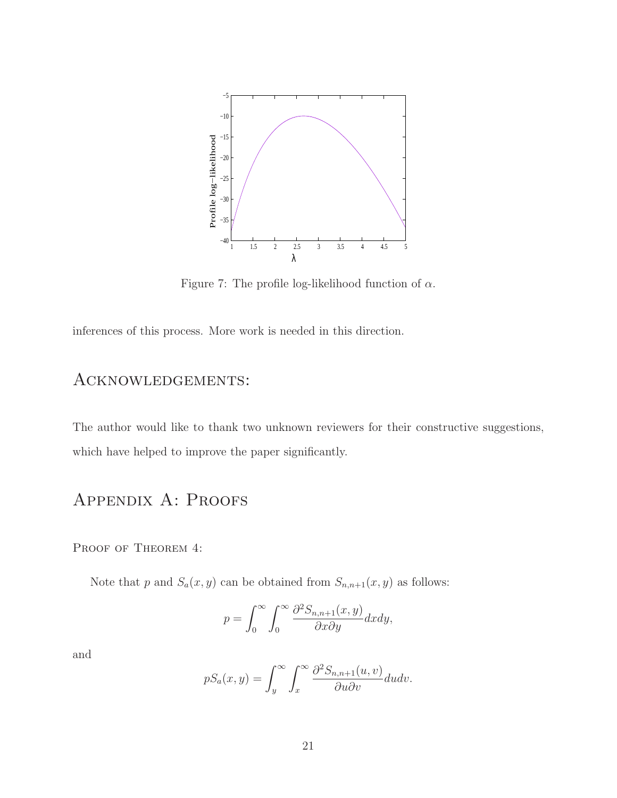

Figure 7: The profile log-likelihood function of  $\alpha$ .

inferences of this process. More work is needed in this direction.

## Acknowledgements:

The author would like to thank two unknown reviewers for their constructive suggestions, which have helped to improve the paper significantly.

## Appendix A: Proofs

PROOF OF THEOREM 4:

Note that p and  $S_a(x, y)$  can be obtained from  $S_{n,n+1}(x, y)$  as follows:

$$
p = \int_0^\infty \int_0^\infty \frac{\partial^2 S_{n,n+1}(x,y)}{\partial x \partial y} dx dy,
$$

and

$$
pS_a(x,y) = \int_y^\infty \int_x^\infty \frac{\partial^2 S_{n,n+1}(u,v)}{\partial u \partial v} du dv.
$$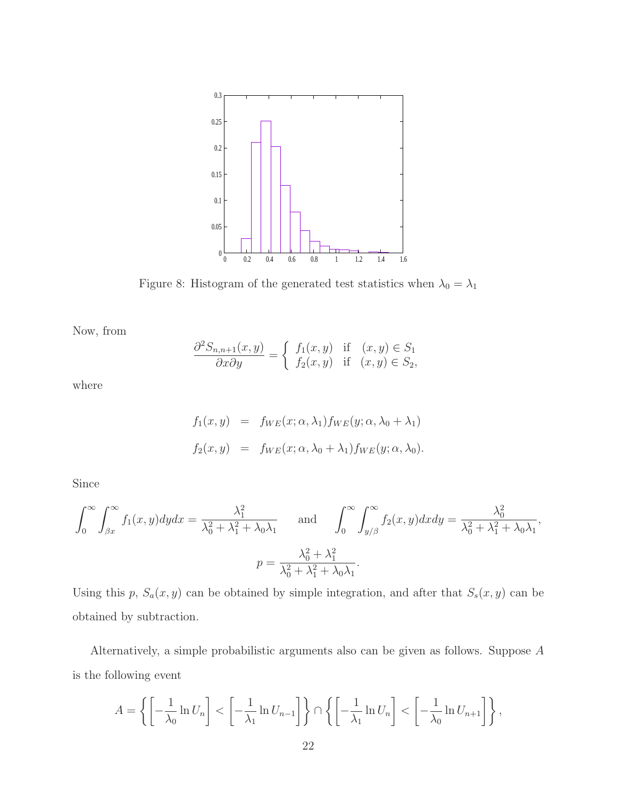

Figure 8: Histogram of the generated test statistics when  $\lambda_0 = \lambda_1$ 

Now, from

$$
\frac{\partial^2 S_{n,n+1}(x,y)}{\partial x \partial y} = \begin{cases} f_1(x,y) & \text{if } (x,y) \in S_1 \\ f_2(x,y) & \text{if } (x,y) \in S_2, \end{cases}
$$

where

$$
f_1(x, y) = f_{WE}(x; \alpha, \lambda_1) f_{WE}(y; \alpha, \lambda_0 + \lambda_1)
$$
  

$$
f_2(x, y) = f_{WE}(x; \alpha, \lambda_0 + \lambda_1) f_{WE}(y; \alpha, \lambda_0).
$$

Since

$$
\int_0^\infty \int_{\beta x}^\infty f_1(x, y) dy dx = \frac{\lambda_1^2}{\lambda_0^2 + \lambda_1^2 + \lambda_0 \lambda_1} \quad \text{and} \quad \int_0^\infty \int_{y/\beta}^\infty f_2(x, y) dx dy = \frac{\lambda_0^2}{\lambda_0^2 + \lambda_1^2 + \lambda_0 \lambda_1},
$$

$$
p = \frac{\lambda_0^2 + \lambda_1^2}{\lambda_0^2 + \lambda_1^2 + \lambda_0 \lambda_1}.
$$

Using this p,  $S_a(x, y)$  can be obtained by simple integration, and after that  $S_s(x, y)$  can be obtained by subtraction.

Alternatively, a simple probabilistic arguments also can be given as follows. Suppose A is the following event

$$
A = \left\{ \left[ -\frac{1}{\lambda_0} \ln U_n \right] < \left[ -\frac{1}{\lambda_1} \ln U_{n-1} \right] \right\} \cap \left\{ \left[ -\frac{1}{\lambda_1} \ln U_n \right] < \left[ -\frac{1}{\lambda_0} \ln U_{n+1} \right] \right\},
$$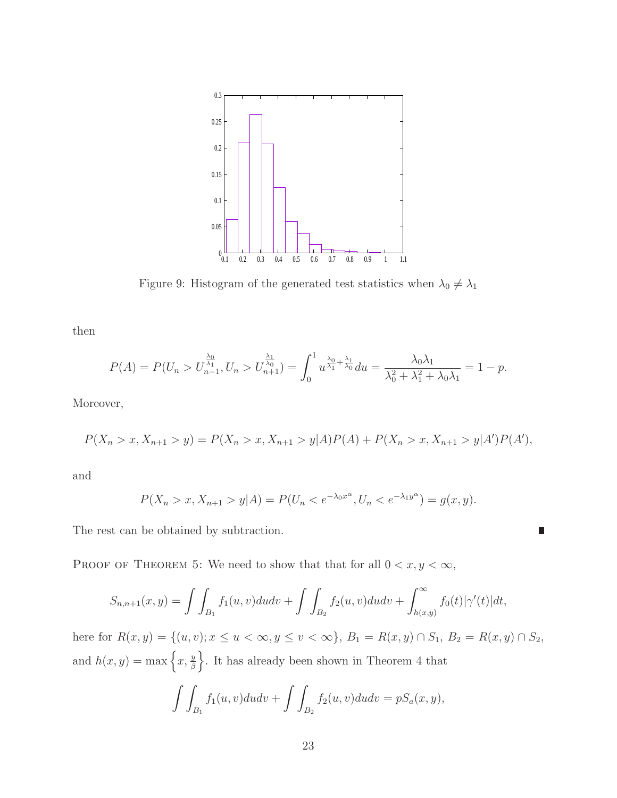

Figure 9: Histogram of the generated test statistics when  $\lambda_0\neq\lambda_1$ 

then

$$
P(A) = P(U_n > U_{n-1}^{\frac{\lambda_0}{\lambda_1}}, U_n > U_{n+1}^{\frac{\lambda_1}{\lambda_0}}) = \int_0^1 u^{\frac{\lambda_0}{\lambda_1} + \frac{\lambda_1}{\lambda_0}} du = \frac{\lambda_0 \lambda_1}{\lambda_0^2 + \lambda_1^2 + \lambda_0 \lambda_1} = 1 - p.
$$

Moreover,

$$
P(X_n > x, X_{n+1} > y) = P(X_n > x, X_{n+1} > y | A) P(A) + P(X_n > x, X_{n+1} > y | A') P(A'),
$$

and

$$
P(X_n > x, X_{n+1} > y | A) = P(U_n < e^{-\lambda_0 x^{\alpha}}, U_n < e^{-\lambda_1 y^{\alpha}}) = g(x, y).
$$

П

The rest can be obtained by subtraction.

PROOF OF THEOREM 5: We need to show that that for all  $0 < x, y < \infty$ ,

$$
S_{n,n+1}(x,y) = \int \int_{B_1} f_1(u,v) du dv + \int \int_{B_2} f_2(u,v) du dv + \int_{h(x,y)}^{\infty} f_0(t) |\gamma'(t)| dt,
$$

here for  $R(x, y) = \{(u, v); x \le u < \infty, y \le v < \infty\}, B_1 = R(x, y) \cap S_1, B_2 = R(x, y) \cap S_2$ , and  $h(x, y) = \max\left\{x, \frac{y}{\beta}\right\}$ o . It has already been shown in Theorem 4 that

$$
\int\int_{B_1} f_1(u,v)dudv + \int\int_{B_2} f_2(u,v)dudv = pS_a(x,y),
$$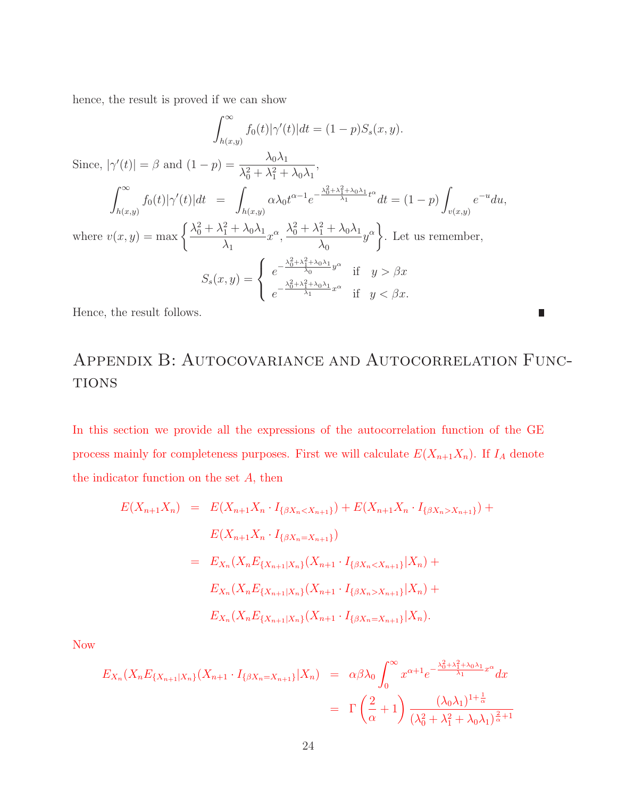hence, the result is proved if we can show

$$
\int_{h(x,y)}^{\infty} f_0(t) |\gamma'(t)| dt = (1-p) S_s(x, y).
$$
  
Since,  $|\gamma'(t)| = \beta$  and  $(1-p) = \frac{\lambda_0 \lambda_1}{\lambda_0^2 + \lambda_1^2 + \lambda_0 \lambda_1},$   

$$
\int_{h(x,y)}^{\infty} f_0(t) |\gamma'(t)| dt = \int_{h(x,y)} \alpha \lambda_0 t^{\alpha - 1} e^{-\frac{\lambda_0^2 + \lambda_1^2 + \lambda_0 \lambda_1}{\lambda_1} t^{\alpha}} dt = (1-p) \int_{v(x,y)} e^{-u} du,
$$
  
where  $v(x, y) = \max \left\{ \frac{\lambda_0^2 + \lambda_1^2 + \lambda_0 \lambda_1}{\lambda_1} x^{\alpha}, \frac{\lambda_0^2 + \lambda_1^2 + \lambda_0 \lambda_1}{\lambda_0} y^{\alpha} \right\}.$  Let us remember,  

$$
S_s(x, y) = \begin{cases} e^{-\frac{\lambda_0^2 + \lambda_1^2 + \lambda_0 \lambda_1}{\lambda_0} y^{\alpha}} & \text{if } y > \beta x \\ e^{-\frac{\lambda_0^2 + \lambda_1^2 + \lambda_0 \lambda_1}{\lambda_1} x^{\alpha}} & \text{if } y < \beta x \end{cases}
$$

Hence, the result follows.

## Appendix B: Autocovariance and Autocorrelation Func-**TIONS**

П

In this section we provide all the expressions of the autocorrelation function of the GE process mainly for completeness purposes. First we will calculate  $E(X_{n+1}X_n)$ . If  $I_A$  denote the indicator function on the set  $A$ , then

$$
E(X_{n+1}X_n) = E(X_{n+1}X_n \cdot I_{\{\beta X_n < X_{n+1}\}}) + E(X_{n+1}X_n \cdot I_{\{\beta X_n > X_{n+1}\}}) +
$$
\n
$$
E(X_{n+1}X_n \cdot I_{\{\beta X_n = X_{n+1}\}})
$$
\n
$$
= E_{X_n}(X_n E_{\{X_{n+1}|X_n\}}(X_{n+1} \cdot I_{\{\beta X_n < X_{n+1}\}} | X_n) +
$$
\n
$$
E_{X_n}(X_n E_{\{X_{n+1}|X_n\}}(X_{n+1} \cdot I_{\{\beta X_n > X_{n+1}\}} | X_n) +
$$
\n
$$
E_{X_n}(X_n E_{\{X_{n+1}|X_n\}}(X_{n+1} \cdot I_{\{\beta X_n = X_{n+1}\}} | X_n).
$$

Now

$$
E_{X_n}(X_n E_{\{X_{n+1}|X_n\}}(X_{n+1} \cdot I_{\{\beta X_n = X_{n+1}\}} | X_n) = \alpha \beta \lambda_0 \int_0^\infty x^{\alpha+1} e^{-\frac{\lambda_0^2 + \lambda_1^2 + \lambda_0 \lambda_1}{\lambda_1} x^{\alpha}} dx
$$
  

$$
= \Gamma\left(\frac{2}{\alpha} + 1\right) \frac{(\lambda_0 \lambda_1)^{1 + \frac{1}{\alpha}}}{(\lambda_0^2 + \lambda_1^2 + \lambda_0 \lambda_1)^{\frac{2}{\alpha} + 1}}
$$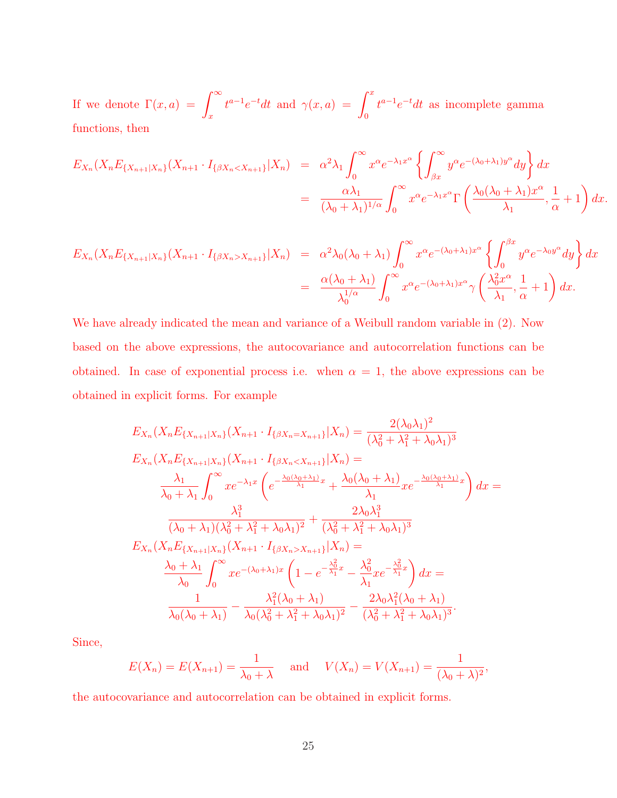If we denote  $\Gamma(x, a) = \int_{-\infty}^{\infty}$ x  $t^{a-1}e^{-t}dt$  and  $\gamma(x,a) = \int^x$  $\boldsymbol{0}$  $t^{a-1}e^{-t}dt$  as incomplete gamma functions, then

$$
E_{X_n}(X_n E_{\{X_{n+1}|X_n\}}(X_{n+1} \cdot I_{\{\beta X_n < X_{n+1}\}} | X_n) = \alpha^2 \lambda_1 \int_0^\infty x^\alpha e^{-\lambda_1 x^\alpha} \left\{ \int_{\beta x}^\infty y^\alpha e^{-(\lambda_0 + \lambda_1) y^\alpha} dy \right\} dx
$$
  
= 
$$
\frac{\alpha \lambda_1}{(\lambda_0 + \lambda_1)^{1/\alpha}} \int_0^\infty x^\alpha e^{-\lambda_1 x^\alpha} \Gamma\left(\frac{\lambda_0 (\lambda_0 + \lambda_1) x^\alpha}{\lambda_1}, \frac{1}{\alpha} + 1\right) dx.
$$

$$
E_{X_n}(X_n E_{\{X_{n+1}|X_n\}}(X_{n+1} \cdot I_{\{\beta X_n > X_{n+1}\}} | X_n) = \alpha^2 \lambda_0 (\lambda_0 + \lambda_1) \int_0^\infty x^\alpha e^{-(\lambda_0 + \lambda_1)x^\alpha} \left\{ \int_0^{\beta x} y^\alpha e^{-\lambda_0 y^\alpha} dy \right\} dx
$$
  

$$
= \frac{\alpha(\lambda_0 + \lambda_1)}{\lambda_0^{1/\alpha}} \int_0^\infty x^\alpha e^{-(\lambda_0 + \lambda_1)x^\alpha} \gamma \left( \frac{\lambda_0^2 x^\alpha}{\lambda_1}, \frac{1}{\alpha} + 1 \right) dx.
$$

We have already indicated the mean and variance of a Weibull random variable in (2). Now based on the above expressions, the autocovariance and autocorrelation functions can be obtained. In case of exponential process i.e. when  $\alpha = 1$ , the above expressions can be obtained in explicit forms. For example

$$
E_{X_n}(X_n E_{\{X_{n+1}|X_n\}}(X_{n+1} \cdot I_{\{\beta X_n = X_{n+1}\}}|X_n) = \frac{2(\lambda_0 \lambda_1)^2}{(\lambda_0^2 + \lambda_1^2 + \lambda_0 \lambda_1)^3}
$$
  
\n
$$
E_{X_n}(X_n E_{\{X_{n+1}|X_n\}}(X_{n+1} \cdot I_{\{\beta X_n < X_{n+1}\}}|X_n) = \frac{\lambda_1}{\lambda_0 + \lambda_1} \int_0^\infty x e^{-\lambda_1 x} \left( e^{-\frac{\lambda_0(\lambda_0 + \lambda_1)}{\lambda_1}x} + \frac{\lambda_0(\lambda_0 + \lambda_1)}{\lambda_1} x e^{-\frac{\lambda_0(\lambda_0 + \lambda_1)}{\lambda_1}x} \right) dx = \frac{\lambda_1^3}{(\lambda_0 + \lambda_1)(\lambda_0^2 + \lambda_1^2 + \lambda_0 \lambda_1)^2} + \frac{2\lambda_0 \lambda_1^3}{(\lambda_0^2 + \lambda_1^2 + \lambda_0 \lambda_1)^3}
$$
  
\n
$$
E_{X_n}(X_n E_{\{X_{n+1}|X_n\}}(X_{n+1} \cdot I_{\{\beta X_n > X_{n+1}\}}|X_n) = \frac{\lambda_0 + \lambda_1}{\lambda_0} \int_0^\infty x e^{-(\lambda_0 + \lambda_1)x} \left(1 - e^{-\frac{\lambda_0^2}{\lambda_1}x} - \frac{\lambda_0^2}{\lambda_1} x e^{-\frac{\lambda_0^2}{\lambda_1}x} \right) dx = \frac{1}{\lambda_0(\lambda_0 + \lambda_1)} - \frac{\lambda_1^2(\lambda_0 + \lambda_1)}{\lambda_0(\lambda_0^2 + \lambda_1^2 + \lambda_0 \lambda_1)^2} - \frac{2\lambda_0 \lambda_1^2(\lambda_0 + \lambda_1)}{(\lambda_0^2 + \lambda_1^2 + \lambda_0 \lambda_1)^3}.
$$

Since,

$$
E(X_n) = E(X_{n+1}) = \frac{1}{\lambda_0 + \lambda}
$$
 and  $V(X_n) = V(X_{n+1}) = \frac{1}{(\lambda_0 + \lambda)^2}$ ,

the autocovariance and autocorrelation can be obtained in explicit forms.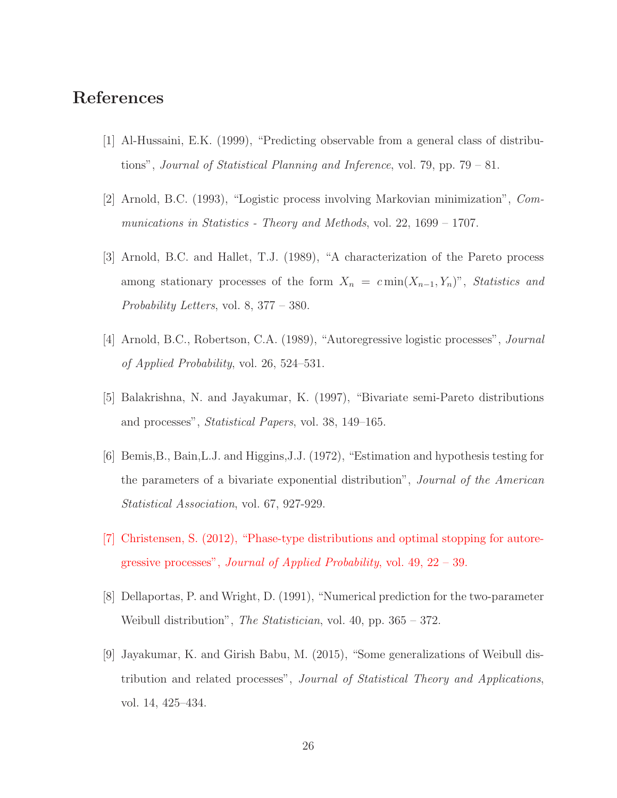## References

- [1] Al-Hussaini, E.K. (1999), "Predicting observable from a general class of distributions", Journal of Statistical Planning and Inference, vol. 79, pp. 79 – 81.
- [2] Arnold, B.C. (1993), "Logistic process involving Markovian minimization", Communications in Statistics - Theory and Methods, vol. 22,  $1699 - 1707$ .
- [3] Arnold, B.C. and Hallet, T.J. (1989), "A characterization of the Pareto process among stationary processes of the form  $X_n = c \min(X_{n-1}, Y_n)$ ", Statistics and Probability Letters, vol. 8, 377 – 380.
- [4] Arnold, B.C., Robertson, C.A. (1989), "Autoregressive logistic processes", Journal of Applied Probability, vol. 26, 524–531.
- [5] Balakrishna, N. and Jayakumar, K. (1997), "Bivariate semi-Pareto distributions and processes", Statistical Papers, vol. 38, 149–165.
- [6] Bemis,B., Bain,L.J. and Higgins,J.J. (1972), "Estimation and hypothesis testing for the parameters of a bivariate exponential distribution", Journal of the American Statistical Association, vol. 67, 927-929.
- [7] Christensen, S. (2012), "Phase-type distributions and optimal stopping for autoregressive processes", *Journal of Applied Probability*, vol.  $49, 22 - 39$ .
- [8] Dellaportas, P. and Wright, D. (1991), "Numerical prediction for the two-parameter Weibull distribution", *The Statistician*, vol. 40, pp. 365 – 372.
- [9] Jayakumar, K. and Girish Babu, M. (2015), "Some generalizations of Weibull distribution and related processes", Journal of Statistical Theory and Applications, vol. 14, 425–434.